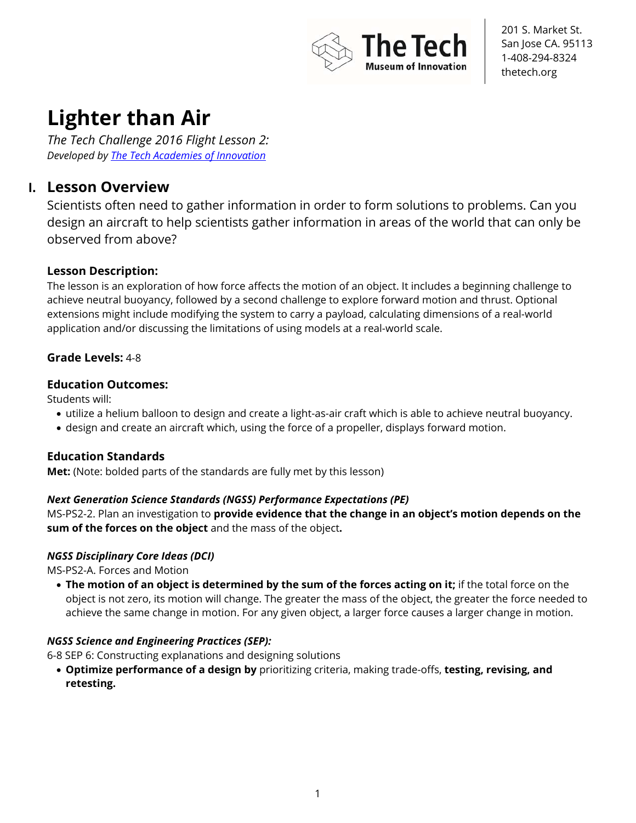

# **Lighter than Air**

*The Tech Challenge 2016 Flight Lesson 2: Developed by The Tech Academies of Innovation*

# **I. Lesson Overview**

Scientists often need to gather information in order to form solutions to problems. Can you design an aircraft to help scientists gather information in areas of the world that can only be observed from above?

## **Lesson Description:**

The lesson is an exploration of how force affects the motion of an object. It includes a beginning challenge to achieve neutral buoyancy, followed by a second challenge to explore forward motion and thrust. Optional extensions might include modifying the system to carry a payload, calculating dimensions of a real-world application and/or discussing the limitations of using models at a real-world scale.

## **Grade Levels:** 4-8

## **Education Outcomes:**

Students will:

- utilize a helium balloon to design and create a light-as-air craft which is able to achieve neutral buoyancy.
- design and create an aircraft which, using the force of a propeller, displays forward motion.

## **Education Standards**

**Met:** (Note: bolded parts of the standards are fully met by this lesson)

## *Next Generation Science Standards (NGSS) Performance Expectations (PE)*

MS-PS2-2. Plan an investigation to **provide evidence that the change in an object's motion depends on the sum of the forces on the object** and the mass of the object**.** 

### *NGSS Disciplinary Core Ideas (DCI)*

MS-PS2-A. Forces and Motion

• **The motion of an object is determined by the sum of the forces acting on it;** if the total force on the object is not zero, its motion will change. The greater the mass of the object, the greater the force needed to achieve the same change in motion. For any given object, a larger force causes a larger change in motion.

## *NGSS Science and Engineering Practices (SEP):*

6-8 SEP 6: Constructing explanations and designing solutions

• **Optimize performance of a design by** prioritizing criteria, making trade-offs, **testing, revising, and retesting.**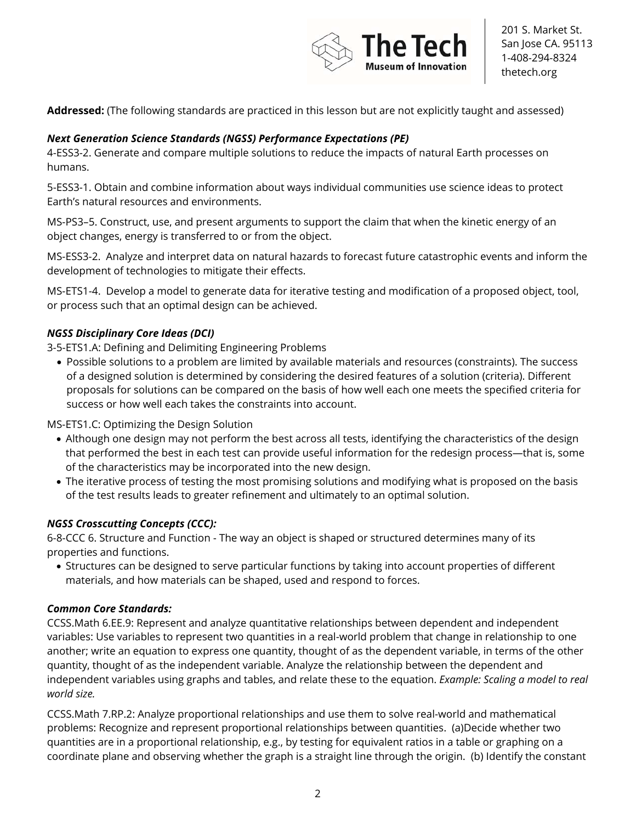

**Addressed:** (The following standards are practiced in this lesson but are not explicitly taught and assessed)

### *Next Generation Science Standards (NGSS) Performance Expectations (PE)*

4-ESS3-2. Generate and compare multiple solutions to reduce the impacts of natural Earth processes on humans.

5-ESS3-1. Obtain and combine information about ways individual communities use science ideas to protect Earth's natural resources and environments.

MS-PS3–5. Construct, use, and present arguments to support the claim that when the kinetic energy of an object changes, energy is transferred to or from the object.

MS-ESS3-2. Analyze and interpret data on natural hazards to forecast future catastrophic events and inform the development of technologies to mitigate their effects.

MS-ETS1-4. Develop a model to generate data for iterative testing and modification of a proposed object, tool, or process such that an optimal design can be achieved.

### *NGSS Disciplinary Core Ideas (DCI)*

3-5-ETS1.A: Defining and Delimiting Engineering Problems

• Possible solutions to a problem are limited by available materials and resources (constraints). The success of a designed solution is determined by considering the desired features of a solution (criteria). Different proposals for solutions can be compared on the basis of how well each one meets the specified criteria for success or how well each takes the constraints into account.

MS-ETS1.C: Optimizing the Design Solution

- Although one design may not perform the best across all tests, identifying the characteristics of the design that performed the best in each test can provide useful information for the redesign process—that is, some of the characteristics may be incorporated into the new design.
- The iterative process of testing the most promising solutions and modifying what is proposed on the basis of the test results leads to greater refinement and ultimately to an optimal solution.

### *NGSS Crosscutting Concepts (CCC):*

6-8-CCC 6. Structure and Function - The way an object is shaped or structured determines many of its properties and functions.

• Structures can be designed to serve particular functions by taking into account properties of different materials, and how materials can be shaped, used and respond to forces.

#### *Common Core Standards:*

CCSS.Math 6.EE.9: Represent and analyze quantitative relationships between dependent and independent variables: Use variables to represent two quantities in a real-world problem that change in relationship to one another; write an equation to express one quantity, thought of as the dependent variable, in terms of the other quantity, thought of as the independent variable. Analyze the relationship between the dependent and independent variables using graphs and tables, and relate these to the equation. *Example: Scaling a model to real world size.*

CCSS.Math 7.RP.2: Analyze proportional relationships and use them to solve real-world and mathematical problems: Recognize and represent proportional relationships between quantities. (a)Decide whether two quantities are in a proportional relationship, e.g., by testing for equivalent ratios in a table or graphing on a coordinate plane and observing whether the graph is a straight line through the origin. (b) Identify the constant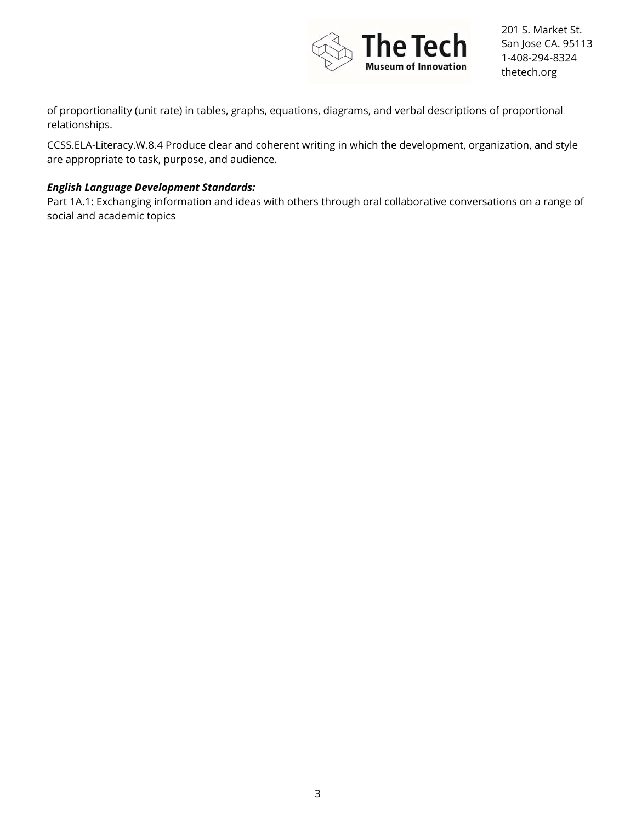

of proportionality (unit rate) in tables, graphs, equations, diagrams, and verbal descriptions of proportional relationships.

CCSS.ELA-Literacy.W.8.4 Produce clear and coherent writing in which the development, organization, and style are appropriate to task, purpose, and audience.

### *English Language Development Standards:*

Part 1A.1: Exchanging information and ideas with others through oral collaborative conversations on a range of social and academic topics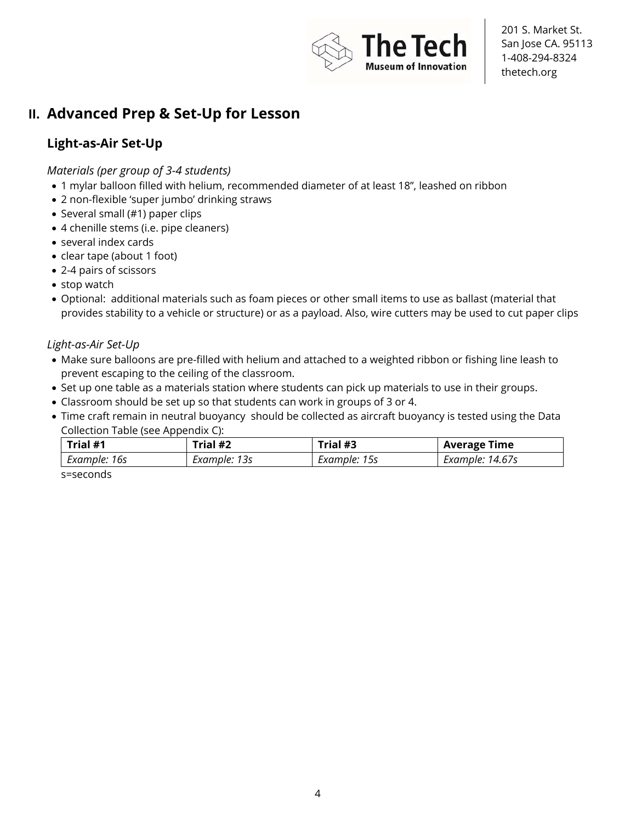

# **II. Advanced Prep & Set-Up for Lesson**

# **Light-as-Air Set-Up**

*Materials (per group of 3-4 students)* 

- 1 mylar balloon filled with helium, recommended diameter of at least 18", leashed on ribbon
- 2 non-flexible 'super jumbo' drinking straws
- Several small (#1) paper clips
- 4 chenille stems (i.e. pipe cleaners)
- several index cards
- clear tape (about 1 foot)
- 2-4 pairs of scissors
- stop watch
- Optional: additional materials such as foam pieces or other small items to use as ballast (material that provides stability to a vehicle or structure) or as a payload. Also, wire cutters may be used to cut paper clips

*Light-as-Air Set-Up* 

- Make sure balloons are pre-filled with helium and attached to a weighted ribbon or fishing line leash to prevent escaping to the ceiling of the classroom.
- Set up one table as a materials station where students can pick up materials to use in their groups.
- Classroom should be set up so that students can work in groups of 3 or 4.
- Time craft remain in neutral buoyancy should be collected as aircraft buoyancy is tested using the Data Collection Table (see Appendix C):

| Trial #1     | Trial #2     | Trial #3     | <b>Average Time</b> |
|--------------|--------------|--------------|---------------------|
| Example: 16s | Example: 13s | Example: 15s | Example: 14.67s     |

s=seconds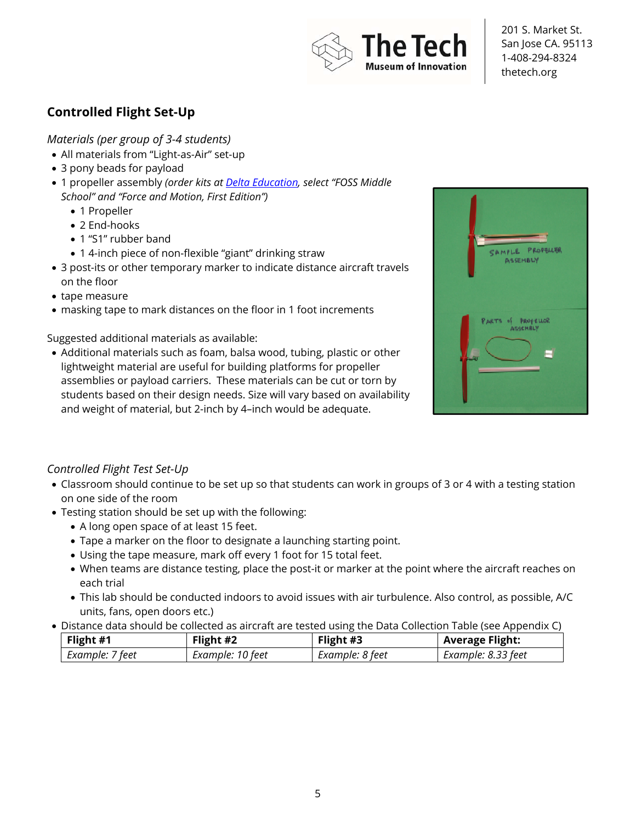

# **Controlled Flight Set-Up**

*Materials (per group of 3-4 students)* 

- All materials from "Light-as-Air" set-up
- 3 pony beads for payload
- 1 propeller assembly *(order kits at Delta Education, select "FOSS Middle School" and "Force and Motion, First Edition")*
	- 1 Propeller
	- 2 End-hooks
	- 1 "S1" rubber band
	- 1 4-inch piece of non-flexible "giant" drinking straw
- 3 post-its or other temporary marker to indicate distance aircraft travels on the floor
- tape measure
- masking tape to mark distances on the floor in 1 foot increments

Suggested additional materials as available:

• Additional materials such as foam, balsa wood, tubing, plastic or other lightweight material are useful for building platforms for propeller assemblies or payload carriers. These materials can be cut or torn by students based on their design needs. Size will vary based on availability and weight of material, but 2-inch by 4–inch would be adequate.



### *Controlled Flight Test Set-Up*

- Classroom should continue to be set up so that students can work in groups of 3 or 4 with a testing station on one side of the room
- Testing station should be set up with the following:
	- A long open space of at least 15 feet.
	- Tape a marker on the floor to designate a launching starting point.
	- Using the tape measure, mark off every 1 foot for 15 total feet.
	- When teams are distance testing, place the post-it or marker at the point where the aircraft reaches on each trial
	- This lab should be conducted indoors to avoid issues with air turbulence. Also control, as possible, A/C units, fans, open doors etc.)
- Distance data should be collected as aircraft are tested using the Data Collection Table (see Appendix C)

| Flight #1       | Flight #2        | Flight #3       | <b>Average Flight:</b> |
|-----------------|------------------|-----------------|------------------------|
| Example: 7 feet | Example: 10 feet | Example: 8 feet | Example: 8.33 feet     |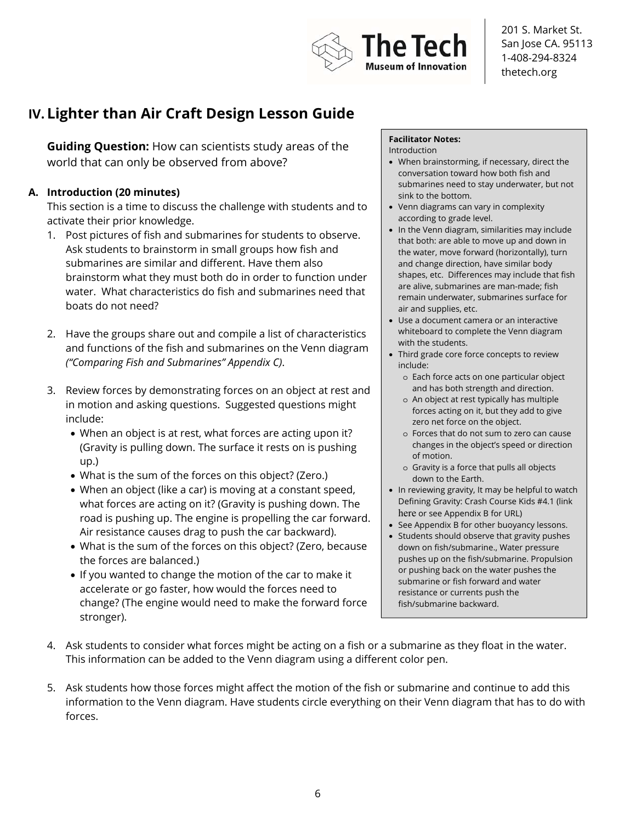

# **IV. Lighter than Air Craft Design Lesson Guide**

**Guiding Question:** How can scientists study areas of the world that can only be observed from above?

### **A. Introduction (20 minutes)**

This section is a time to discuss the challenge with students and to activate their prior knowledge.

- 1. Post pictures of fish and submarines for students to observe. Ask students to brainstorm in small groups how fish and submarines are similar and different. Have them also brainstorm what they must both do in order to function under water. What characteristics do fish and submarines need that boats do not need?
- 2. Have the groups share out and compile a list of characteristics and functions of the fish and submarines on the Venn diagram *("Comparing Fish and Submarines" Appendix C)*.
- 3. Review forces by demonstrating forces on an object at rest and in motion and asking questions. Suggested questions might include:
	- When an object is at rest, what forces are acting upon it? (Gravity is pulling down. The surface it rests on is pushing up.)
	- What is the sum of the forces on this object? (Zero.)
	- When an object (like a car) is moving at a constant speed, what forces are acting on it? (Gravity is pushing down. The road is pushing up. The engine is propelling the car forward. Air resistance causes drag to push the car backward).
	- What is the sum of the forces on this object? (Zero, because the forces are balanced.)
	- If you wanted to change the motion of the car to make it accelerate or go faster, how would the forces need to change? (The engine would need to make the forward force stronger).

#### **Facilitator Notes:**

- Introduction
- When brainstorming, if necessary, direct the conversation toward how both fish and submarines need to stay underwater, but not sink to the bottom.
- Venn diagrams can vary in complexity according to grade level.
- In the Venn diagram, similarities may include that both: are able to move up and down in the water, move forward (horizontally), turn and change direction, have similar body shapes, etc. Differences may include that fish are alive, submarines are man-made; fish remain underwater, submarines surface for air and supplies, etc.
- Use a document camera or an interactive whiteboard to complete the Venn diagram with the students.
- Third grade core force concepts to review include:
	- o Each force acts on one particular object and has both strength and direction.
	- o An object at rest typically has multiple forces acting on it, but they add to give zero net force on the object.
	- o Forces that do not sum to zero can cause changes in the object's speed or direction of motion.
	- o Gravity is a force that pulls all objects down to the Earth.
- In reviewing gravity, It may be helpful to watch Defining Gravity: Crash Course Kids #4.1 (link here or see Appendix B for URL)
- See Appendix B for other buoyancy lessons.
- Students should observe that gravity pushes down on fish/submarine., Water pressure pushes up on the fish/submarine. Propulsion or pushing back on the water pushes the submarine or fish forward and water resistance or currents push the fish/submarine backward.
- 4. Ask students to consider what forces might be acting on a fish or a submarine as they float in the water. This information can be added to the Venn diagram using a different color pen.
- 5. Ask students how those forces might affect the motion of the fish or submarine and continue to add this information to the Venn diagram. Have students circle everything on their Venn diagram that has to do with forces.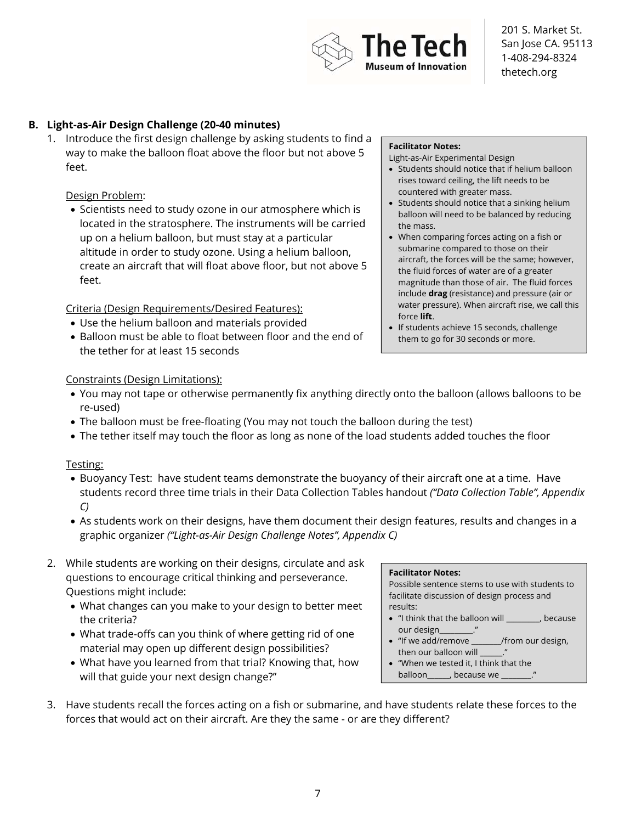**Facilitator Notes:** 

Possible sentence stems to use with students to facilitate discussion of design process and results:

- "I think that the balloon will \_\_\_\_\_\_\_\_\_, because our design\_
- "If we add/remove \_\_\_\_\_\_\_\_/from our design, then our balloon will
- "When we tested it, I think that the balloon , because we

201 S. Market St. San Jose CA. 95113 1-408-294-8324 thetech.org

### **B. Light-as-Air Design Challenge (20-40 minutes)**

1. Introduce the first design challenge by asking students to find a way to make the balloon float above the floor but not above 5 feet.

#### Design Problem:

• Scientists need to study ozone in our atmosphere which is located in the stratosphere. The instruments will be carried up on a helium balloon, but must stay at a particular altitude in order to study ozone. Using a helium balloon, create an aircraft that will float above floor, but not above 5 feet.

Criteria (Design Requirements/Desired Features):

- Use the helium balloon and materials provided
- Balloon must be able to float between floor and the end of the tether for at least 15 seconds

#### **Facilitator Notes:**

he Teck

seum of Innovation

Light-as-Air Experimental Design

- Students should notice that if helium balloon rises toward ceiling, the lift needs to be countered with greater mass.
- Students should notice that a sinking helium balloon will need to be balanced by reducing the mass.
- When comparing forces acting on a fish or submarine compared to those on their aircraft, the forces will be the same; however, the fluid forces of water are of a greater magnitude than those of air. The fluid forces include **drag** (resistance) and pressure (air or water pressure). When aircraft rise, we call this force **lift**.
- If students achieve 15 seconds, challenge them to go for 30 seconds or more.

#### Constraints (Design Limitations):

- You may not tape or otherwise permanently fix anything directly onto the balloon (allows balloons to be re-used)
- The balloon must be free-floating (You may not touch the balloon during the test)
- The tether itself may touch the floor as long as none of the load students added touches the floor

#### Testing:

- Buoyancy Test: have student teams demonstrate the buoyancy of their aircraft one at a time. Have students record three time trials in their Data Collection Tables handout *("Data Collection Table", Appendix C)*
- As students work on their designs, have them document their design features, results and changes in a graphic organizer *("Light-as-Air Design Challenge Notes", Appendix C)*
- 2. While students are working on their designs, circulate and ask questions to encourage critical thinking and perseverance. Questions might include:
	- What changes can you make to your design to better meet the criteria?
	- What trade-offs can you think of where getting rid of one material may open up different design possibilities?
	- What have you learned from that trial? Knowing that, how will that guide your next design change?"
- 3. Have students recall the forces acting on a fish or submarine, and have students relate these forces to the forces that would act on their aircraft. Are they the same - or are they different?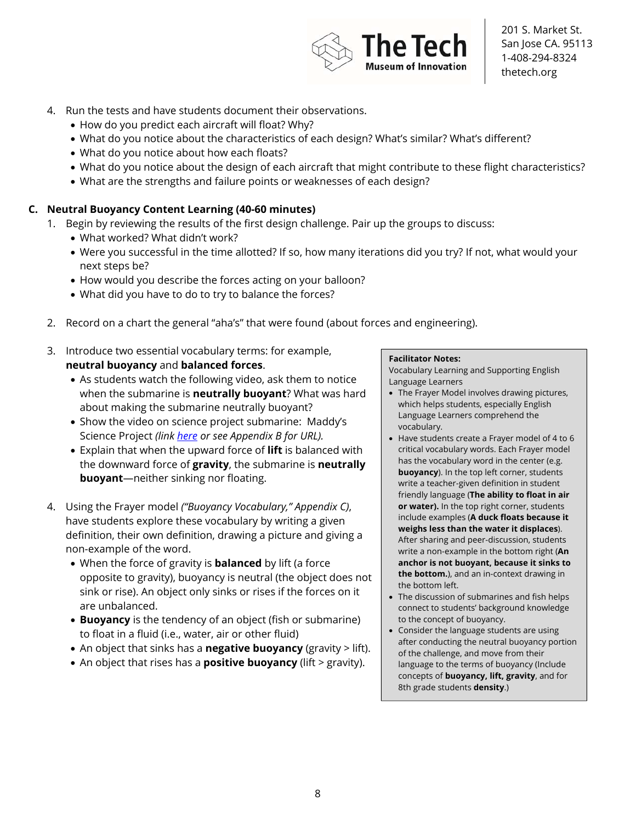- 4. Run the tests and have students document their observations.
	- How do you predict each aircraft will float? Why?
	- What do you notice about the characteristics of each design? What's similar? What's different?
	- What do you notice about how each floats?
	- What do you notice about the design of each aircraft that might contribute to these flight characteristics?
	- What are the strengths and failure points or weaknesses of each design?

### **C. Neutral Buoyancy Content Learning (40-60 minutes)**

- 1. Begin by reviewing the results of the first design challenge. Pair up the groups to discuss:
	- What worked? What didn't work?
	- Were you successful in the time allotted? If so, how many iterations did you try? If not, what would your next steps be?
	- How would you describe the forces acting on your balloon?
	- What did you have to do to try to balance the forces?
- 2. Record on a chart the general "aha's" that were found (about forces and engineering).
- 3. Introduce two essential vocabulary terms: for example, **neutral buoyancy** and **balanced forces**.
	- As students watch the following video, ask them to notice when the submarine is **neutrally buoyant**? What was hard about making the submarine neutrally buoyant?
	- Show the video on science project submarine: Maddy's Science Project *(link here or see Appendix B for URL).*
	- Explain that when the upward force of **lift** is balanced with the downward force of **gravity**, the submarine is **neutrally buoyant**—neither sinking nor floating.
- 4. Using the Frayer model *("Buoyancy Vocabulary," Appendix C)*, have students explore these vocabulary by writing a given definition, their own definition, drawing a picture and giving a non-example of the word.
	- When the force of gravity is **balanced** by lift (a force opposite to gravity), buoyancy is neutral (the object does not sink or rise). An object only sinks or rises if the forces on it are unbalanced.
	- **Buoyancy** is the tendency of an object (fish or submarine) to float in a fluid (i.e., water, air or other fluid)
	- An object that sinks has a **negative buoyancy** (gravity > lift).
	- An object that rises has a **positive buoyancy** (lift > gravity).

#### **Facilitator Notes:**

Vocabulary Learning and Supporting English Language Learners

- The Frayer Model involves drawing pictures, which helps students, especially English Language Learners comprehend the vocabulary.
- Have students create a Frayer model of 4 to 6 critical vocabulary words. Each Frayer model has the vocabulary word in the center (e.g. **buoyancy**). In the top left corner, students write a teacher-given definition in student friendly language (**The ability to float in air or water).** In the top right corner, students include examples (**A duck floats because it weighs less than the water it displaces**). After sharing and peer-discussion, students write a non-example in the bottom right (**An anchor is not buoyant, because it sinks to the bottom.**), and an in-context drawing in the bottom left.
- The discussion of submarines and fish helps connect to students' background knowledge to the concept of buoyancy.
- Consider the language students are using after conducting the neutral buoyancy portion of the challenge, and move from their language to the terms of buoyancy (Include concepts of **buoyancy, lift, gravity**, and for 8th grade students **density**.)

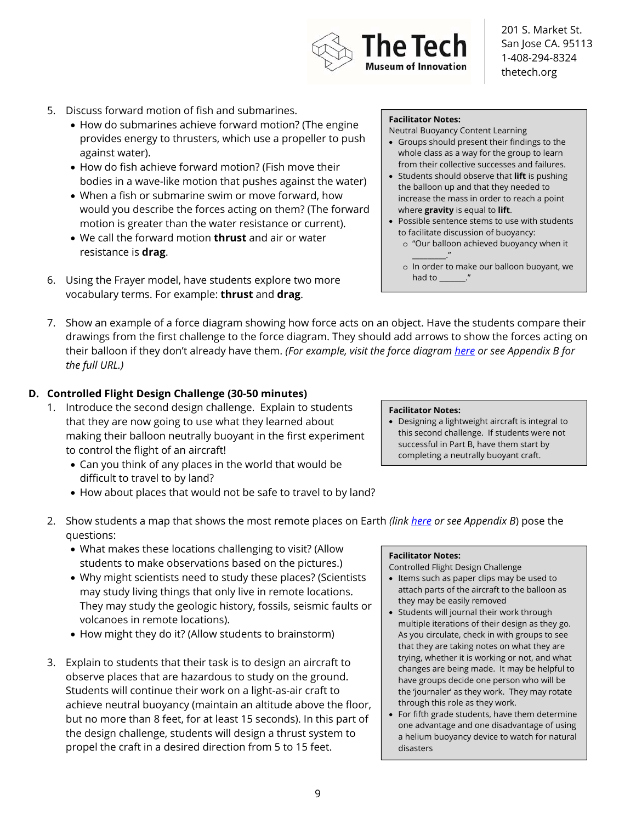

- 5. Discuss forward motion of fish and submarines.
	- How do submarines achieve forward motion? (The engine provides energy to thrusters, which use a propeller to push against water).
	- How do fish achieve forward motion? (Fish move their bodies in a wave-like motion that pushes against the water)
	- When a fish or submarine swim or move forward, how would you describe the forces acting on them? (The forward motion is greater than the water resistance or current).
	- We call the forward motion **thrust** and air or water resistance is **drag**.
- 6. Using the Frayer model, have students explore two more vocabulary terms. For example: **thrust** and **drag**.

#### **Facilitator Notes:**

Neutral Buoyancy Content Learning

- Groups should present their findings to the whole class as a way for the group to learn from their collective successes and failures.
- Students should observe that **lift** is pushing the balloon up and that they needed to increase the mass in order to reach a point where **gravity** is equal to **lift**.
- Possible sentence stems to use with students to facilitate discussion of buoyancy:
	- o "Our balloon achieved buoyancy when it  $\cdot$  ."
	- o In order to make our balloon buoyant, we had to \_\_\_\_\_\_\_."
- 7. Show an example of a force diagram showing how force acts on an object. Have the students compare their drawings from the first challenge to the force diagram. They should add arrows to show the forces acting on their balloon if they don't already have them. *(For example, visit the force diagram here or see Appendix B for the full URL.)*

### **D. Controlled Flight Design Challenge (30-50 minutes)**

- 1. Introduce the second design challenge. Explain to students that they are now going to use what they learned about making their balloon neutrally buoyant in the first experiment to control the flight of an aircraft!
	- Can you think of any places in the world that would be difficult to travel to by land?
	- How about places that would not be safe to travel to by land?

#### **Facilitator Notes:**

- Designing a lightweight aircraft is integral to this second challenge. If students were not successful in Part B, have them start by completing a neutrally buoyant craft.
- 2. Show students a map that shows the most remote places on Earth *(link here or see Appendix B*) pose the questions:
	- What makes these locations challenging to visit? (Allow students to make observations based on the pictures.)
	- Why might scientists need to study these places? (Scientists may study living things that only live in remote locations. They may study the geologic history, fossils, seismic faults or volcanoes in remote locations).
	- How might they do it? (Allow students to brainstorm)
- 3. Explain to students that their task is to design an aircraft to observe places that are hazardous to study on the ground. Students will continue their work on a light-as-air craft to achieve neutral buoyancy (maintain an altitude above the floor, but no more than 8 feet, for at least 15 seconds). In this part of the design challenge, students will design a thrust system to propel the craft in a desired direction from 5 to 15 feet.

#### **Facilitator Notes:**

Controlled Flight Design Challenge

- Items such as paper clips may be used to attach parts of the aircraft to the balloon as they may be easily removed
- Students will journal their work through multiple iterations of their design as they go. As you circulate, check in with groups to see that they are taking notes on what they are trying, whether it is working or not, and what changes are being made. It may be helpful to have groups decide one person who will be the 'journaler' as they work. They may rotate through this role as they work.
- For fifth grade students, have them determine one advantage and one disadvantage of using a helium buoyancy device to watch for natural disasters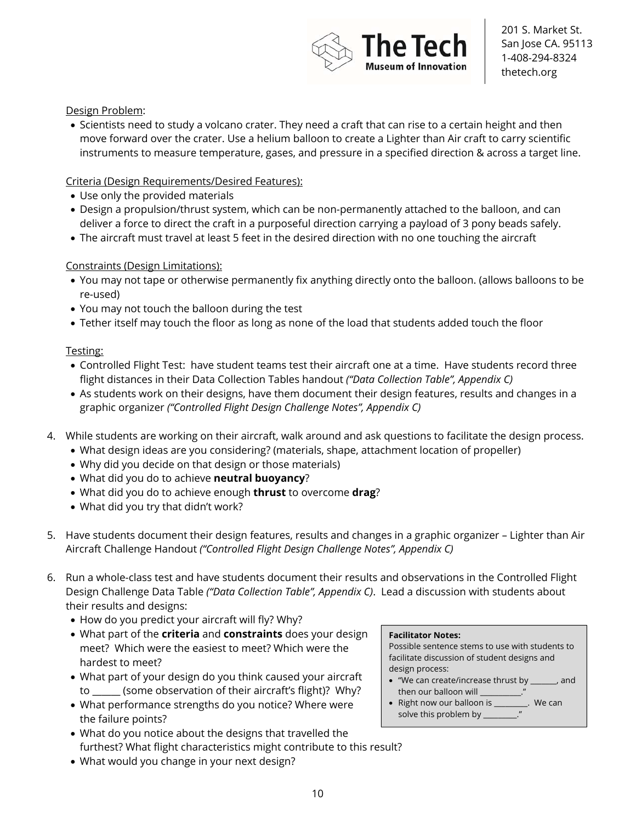

### Design Problem:

• Scientists need to study a volcano crater. They need a craft that can rise to a certain height and then move forward over the crater. Use a helium balloon to create a Lighter than Air craft to carry scientific instruments to measure temperature, gases, and pressure in a specified direction & across a target line.

### Criteria (Design Requirements/Desired Features):

- Use only the provided materials
- Design a propulsion/thrust system, which can be non-permanently attached to the balloon, and can deliver a force to direct the craft in a purposeful direction carrying a payload of 3 pony beads safely.
- The aircraft must travel at least 5 feet in the desired direction with no one touching the aircraft

### Constraints (Design Limitations):

- You may not tape or otherwise permanently fix anything directly onto the balloon. (allows balloons to be re-used)
- You may not touch the balloon during the test
- Tether itself may touch the floor as long as none of the load that students added touch the floor

### Testing:

- Controlled Flight Test: have student teams test their aircraft one at a time. Have students record three flight distances in their Data Collection Tables handout *("Data Collection Table", Appendix C)*
- As students work on their designs, have them document their design features, results and changes in a graphic organizer *("Controlled Flight Design Challenge Notes", Appendix C)*
- 4. While students are working on their aircraft, walk around and ask questions to facilitate the design process.
	- What design ideas are you considering? (materials, shape, attachment location of propeller)
	- Why did you decide on that design or those materials)
	- What did you do to achieve **neutral buoyancy**?
	- What did you do to achieve enough **thrust** to overcome **drag**?
	- What did you try that didn't work?
- 5. Have students document their design features, results and changes in a graphic organizer Lighter than Air Aircraft Challenge Handout *("Controlled Flight Design Challenge Notes", Appendix C)*
- 6. Run a whole-class test and have students document their results and observations in the Controlled Flight Design Challenge Data Table *("Data Collection Table", Appendix C)*. Lead a discussion with students about their results and designs:
	- How do you predict your aircraft will fly? Why?
	- What part of the **criteria** and **constraints** does your design meet? Which were the easiest to meet? Which were the hardest to meet?
	- What part of your design do you think caused your aircraft to \_\_\_\_\_\_ (some observation of their aircraft's flight)? Why?
	- What performance strengths do you notice? Where were the failure points?
	- What do you notice about the designs that travelled the furthest? What flight characteristics might contribute to this result?
	- What would you change in your next design?

#### **Facilitator Notes:**

Possible sentence stems to use with students to facilitate discussion of student designs and design process:

- "We can create/increase thrust by \_\_\_\_\_\_\_, and then our balloon will
- Right now our balloon is \_\_\_\_\_\_\_\_\_. We can solve this problem by \_\_\_\_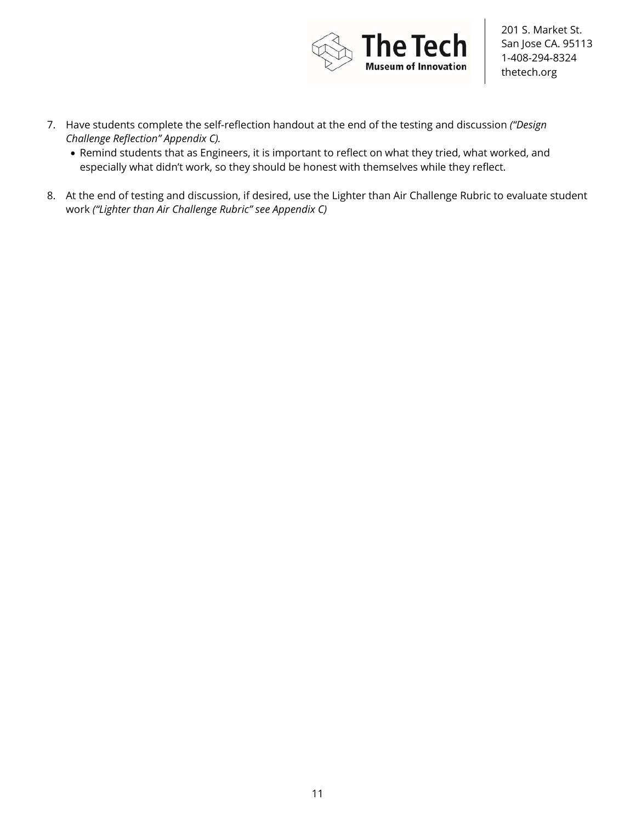

- 7. Have students complete the self-reflection handout at the end of the testing and discussion *("Design Challenge Reflection" Appendix C).*
	- Remind students that as Engineers, it is important to reflect on what they tried, what worked, and especially what didn't work, so they should be honest with themselves while they reflect.
- 8. At the end of testing and discussion, if desired, use the Lighter than Air Challenge Rubric to evaluate student work *("Lighter than Air Challenge Rubric" see Appendix C)*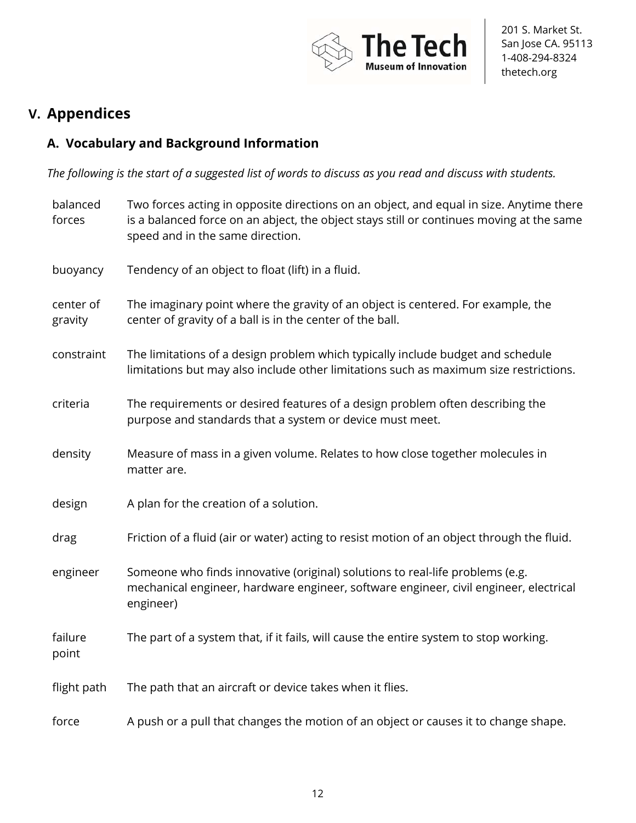

# **V. Appendices**

# **A. Vocabulary and Background Information**

*The following is the start of a suggested list of words to discuss as you read and discuss with students.* 

| balanced<br>forces   | Two forces acting in opposite directions on an object, and equal in size. Anytime there<br>is a balanced force on an abject, the object stays still or continues moving at the same<br>speed and in the same direction. |
|----------------------|-------------------------------------------------------------------------------------------------------------------------------------------------------------------------------------------------------------------------|
| buoyancy             | Tendency of an object to float (lift) in a fluid.                                                                                                                                                                       |
| center of<br>gravity | The imaginary point where the gravity of an object is centered. For example, the<br>center of gravity of a ball is in the center of the ball.                                                                           |
| constraint           | The limitations of a design problem which typically include budget and schedule<br>limitations but may also include other limitations such as maximum size restrictions.                                                |
| criteria             | The requirements or desired features of a design problem often describing the<br>purpose and standards that a system or device must meet.                                                                               |
| density              | Measure of mass in a given volume. Relates to how close together molecules in<br>matter are.                                                                                                                            |
| design               | A plan for the creation of a solution.                                                                                                                                                                                  |
| drag                 | Friction of a fluid (air or water) acting to resist motion of an object through the fluid.                                                                                                                              |
| engineer             | Someone who finds innovative (original) solutions to real-life problems (e.g.<br>mechanical engineer, hardware engineer, software engineer, civil engineer, electrical<br>engineer)                                     |
| failure<br>point     | The part of a system that, if it fails, will cause the entire system to stop working.                                                                                                                                   |
| flight path          | The path that an aircraft or device takes when it flies.                                                                                                                                                                |
| force                | A push or a pull that changes the motion of an object or causes it to change shape.                                                                                                                                     |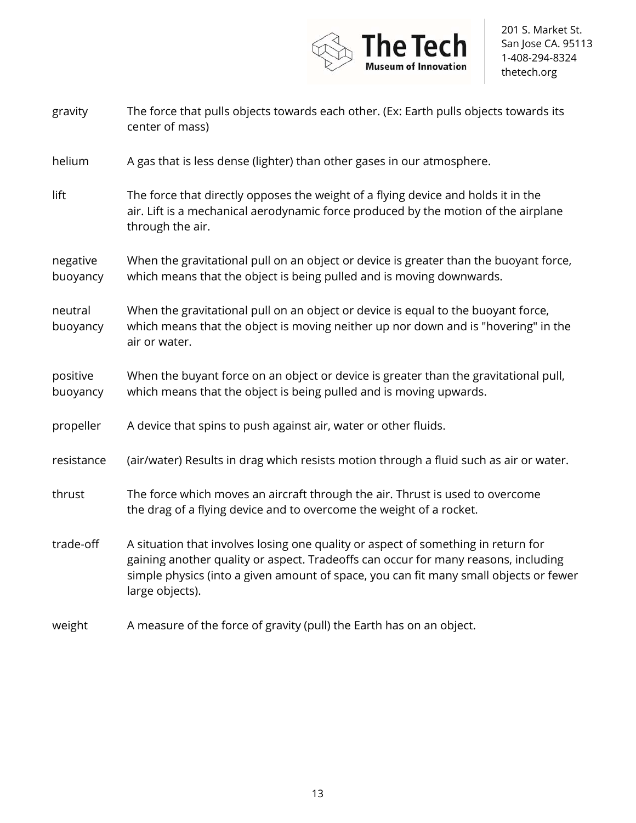

| gravity              | The force that pulls objects towards each other. (Ex: Earth pulls objects towards its<br>center of mass)                                                                                                                                                                            |
|----------------------|-------------------------------------------------------------------------------------------------------------------------------------------------------------------------------------------------------------------------------------------------------------------------------------|
| helium               | A gas that is less dense (lighter) than other gases in our atmosphere.                                                                                                                                                                                                              |
| lift                 | The force that directly opposes the weight of a flying device and holds it in the<br>air. Lift is a mechanical aerodynamic force produced by the motion of the airplane<br>through the air.                                                                                         |
| negative<br>buoyancy | When the gravitational pull on an object or device is greater than the buoyant force,<br>which means that the object is being pulled and is moving downwards.                                                                                                                       |
| neutral<br>buoyancy  | When the gravitational pull on an object or device is equal to the buoyant force,<br>which means that the object is moving neither up nor down and is "hovering" in the<br>air or water.                                                                                            |
| positive<br>buoyancy | When the buyant force on an object or device is greater than the gravitational pull,<br>which means that the object is being pulled and is moving upwards.                                                                                                                          |
| propeller            | A device that spins to push against air, water or other fluids.                                                                                                                                                                                                                     |
| resistance           | (air/water) Results in drag which resists motion through a fluid such as air or water.                                                                                                                                                                                              |
| thrust               | The force which moves an aircraft through the air. Thrust is used to overcome<br>the drag of a flying device and to overcome the weight of a rocket.                                                                                                                                |
| trade-off            | A situation that involves losing one quality or aspect of something in return for<br>gaining another quality or aspect. Tradeoffs can occur for many reasons, including<br>simple physics (into a given amount of space, you can fit many small objects or fewer<br>large objects). |
| weight               | A measure of the force of gravity (pull) the Earth has on an object.                                                                                                                                                                                                                |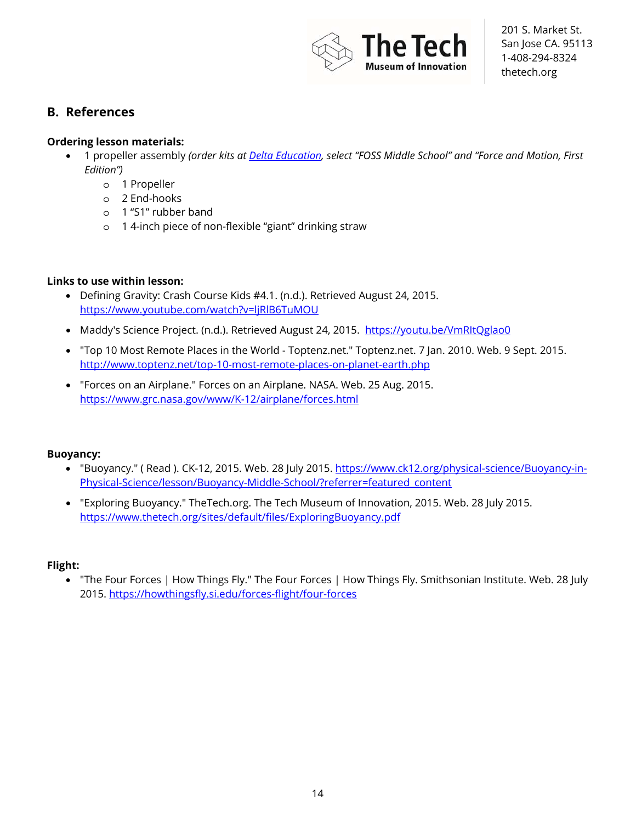

## **B. References**

### **Ordering lesson materials:**

- 1 propeller assembly *(order kits at Delta Education, select "FOSS Middle School" and "Force and Motion, First Edition")*
	- o 1 Propeller
	- o 2 End-hooks
	- o 1 "S1" rubber band
	- o 1 4-inch piece of non-flexible "giant" drinking straw

### **Links to use within lesson:**

- Defining Gravity: Crash Course Kids #4.1. (n.d.). Retrieved August 24, 2015. https://www.youtube.com/watch?v=ljRlB6TuMOU
- Maddy's Science Project. (n.d.). Retrieved August 24, 2015. https://youtu.be/VmRItQglao0
- "Top 10 Most Remote Places in the World Toptenz.net." Toptenz.net. 7 Jan. 2010. Web. 9 Sept. 2015. http://www.toptenz.net/top-10-most-remote-places-on-planet-earth.php
- "Forces on an Airplane." Forces on an Airplane. NASA. Web. 25 Aug. 2015. https://www.grc.nasa.gov/www/K-12/airplane/forces.html

### **Buoyancy:**

- "Buoyancy." (Read ). CK-12, 2015. Web. 28 July 2015. https://www.ck12.org/physical-science/Buoyancy-in-Physical-Science/lesson/Buoyancy-Middle-School/?referrer=featured\_content
- "Exploring Buoyancy." TheTech.org. The Tech Museum of Innovation, 2015. Web. 28 July 2015. https://www.thetech.org/sites/default/files/ExploringBuoyancy.pdf

### **Flight:**

• "The Four Forces | How Things Fly." The Four Forces | How Things Fly. Smithsonian Institute. Web. 28 July 2015. https://howthingsfly.si.edu/forces-flight/four-forces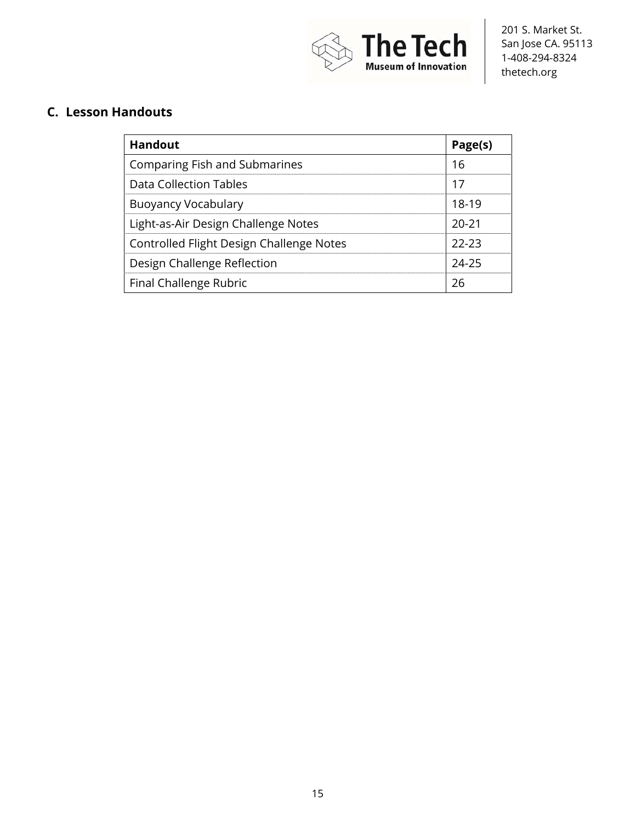

# **C. Lesson Handouts**

| Page(s)   |
|-----------|
| 16        |
| 17        |
| 18-19     |
| $20 - 21$ |
| $22-23$   |
| 24-25     |
| 26        |
|           |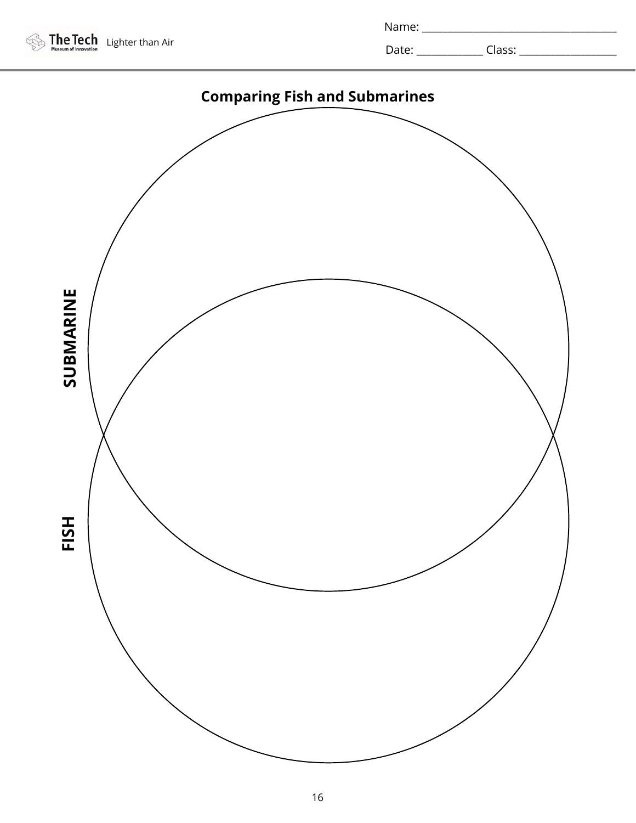

| Name: |  |
|-------|--|
|       |  |

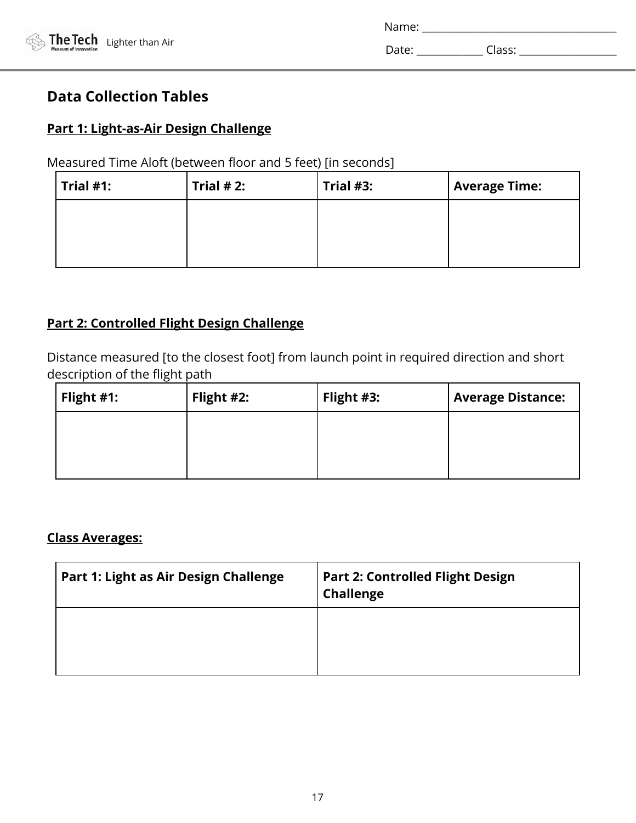| Name: |        |  |
|-------|--------|--|
| Date: | Class: |  |

# **Data Collection Tables**

## **Part 1: Light-as-Air Design Challenge**

# Measured Time Aloft (between floor and 5 feet) [in seconds]

| $ $ Trial #1: | Trial $# 2$ : | Trial $#3$ : | <b>Average Time:</b> |
|---------------|---------------|--------------|----------------------|
|               |               |              |                      |
|               |               |              |                      |
|               |               |              |                      |

# **Part 2: Controlled Flight Design Challenge**

Distance measured [to the closest foot] from launch point in required direction and short description of the flight path

| Flight $#1$ : | Flight #2: | Flight #3: | <b>Average Distance:</b> |
|---------------|------------|------------|--------------------------|
|               |            |            |                          |
|               |            |            |                          |
|               |            |            |                          |

## **Class Averages:**

| Part 1: Light as Air Design Challenge | <b>Part 2: Controlled Flight Design</b><br><b>Challenge</b> |
|---------------------------------------|-------------------------------------------------------------|
|                                       |                                                             |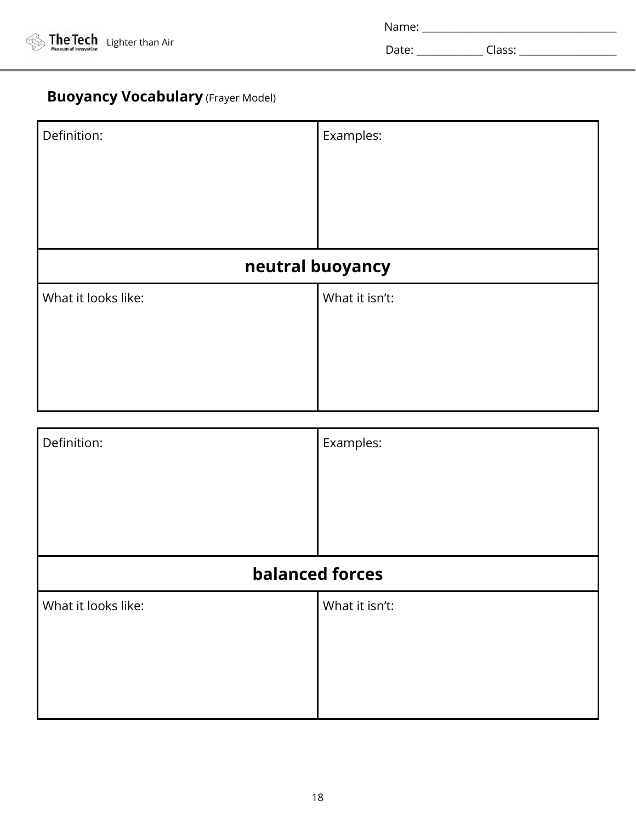![](_page_17_Picture_0.jpeg)

| Name:<br>. |  |  |  |
|------------|--|--|--|
|            |  |  |  |

# **Buoyancy Vocabulary** (Frayer Model)

| Definition:            | Examples:      |  |  |
|------------------------|----------------|--|--|
|                        |                |  |  |
| neutral buoyancy       |                |  |  |
| What it looks like:    | What it isn't: |  |  |
|                        |                |  |  |
| Definition:            | Examples:      |  |  |
| <b>balanced forces</b> |                |  |  |
| What it looks like:    | What it isn't: |  |  |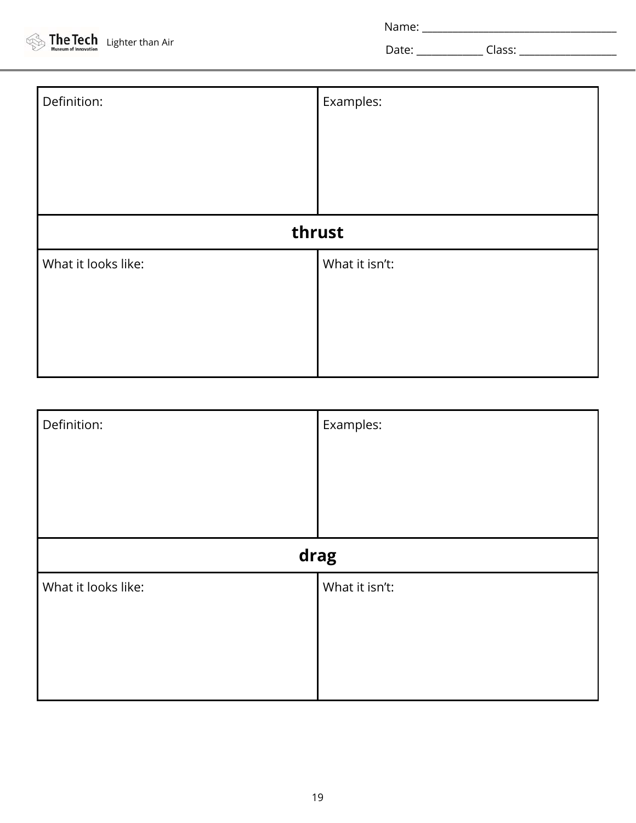Name: \_\_\_\_\_\_\_\_\_\_\_\_\_\_\_\_\_\_\_\_\_\_\_\_\_\_\_\_\_\_\_\_\_\_\_\_\_\_

Date: \_\_\_\_\_\_\_\_\_\_\_\_\_ Class: \_\_\_\_\_\_\_\_\_\_\_\_\_\_\_\_\_\_\_

| Definition:         | Examples:      |  |  |
|---------------------|----------------|--|--|
| thrust              |                |  |  |
| What it looks like: | What it isn't: |  |  |

| Definition:         | Examples:      |
|---------------------|----------------|
|                     | drag           |
| What it looks like: | What it isn't: |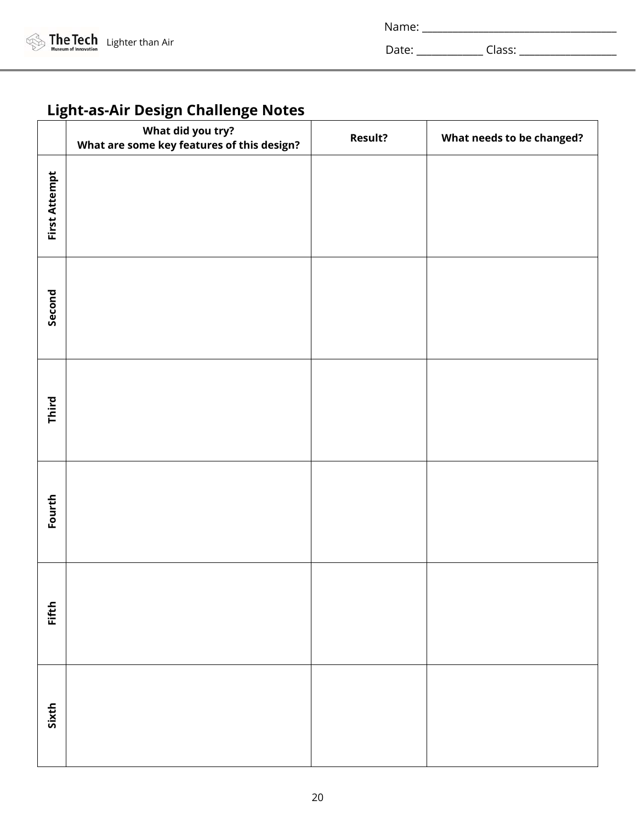| Name:<br>. |  |
|------------|--|
|            |  |

# **Light-as-Air Design Challenge Notes**

|               | What did you try?<br>What are some key features of this design? | <b>Result?</b> | What needs to be changed? |
|---------------|-----------------------------------------------------------------|----------------|---------------------------|
| First Attempt |                                                                 |                |                           |
| Second        |                                                                 |                |                           |
| Third         |                                                                 |                |                           |
| Fourth        |                                                                 |                |                           |
| Fifth         |                                                                 |                |                           |
| Sixth         |                                                                 |                |                           |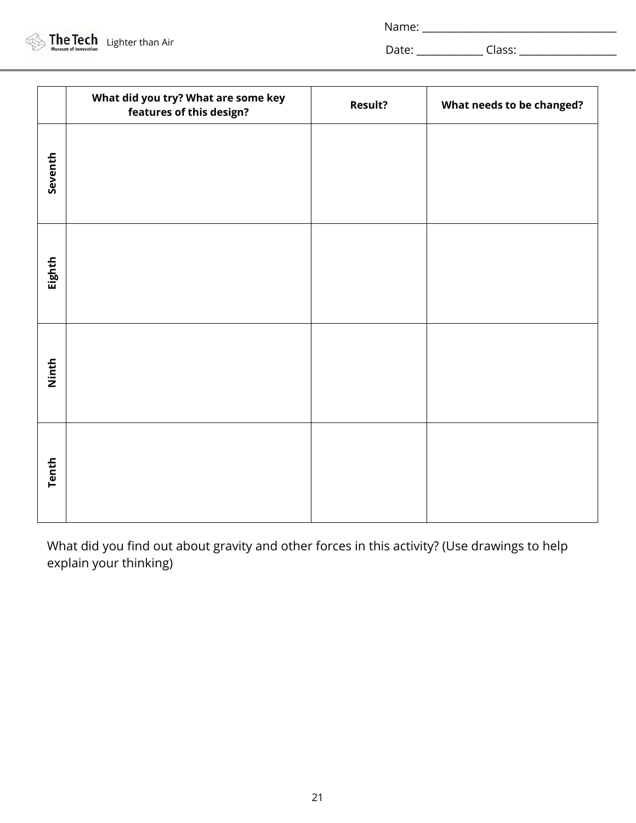|         | What did you try? What are some key<br>features of this design? | <b>Result?</b> | What needs to be changed? |
|---------|-----------------------------------------------------------------|----------------|---------------------------|
| Seventh |                                                                 |                |                           |
| Eighth  |                                                                 |                |                           |
| Ninth   |                                                                 |                |                           |
| Tenth   |                                                                 |                |                           |

What did you find out about gravity and other forces in this activity? (Use drawings to help explain your thinking)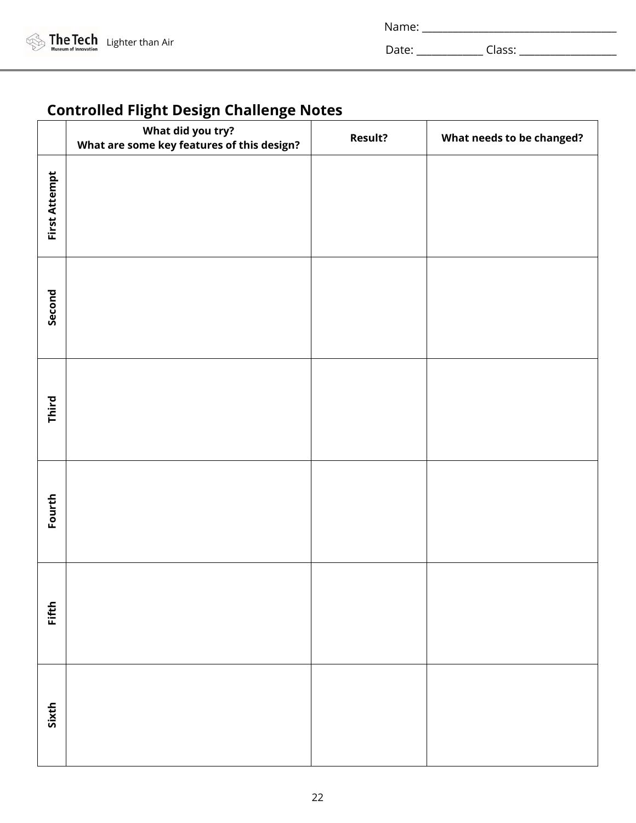| Name: |  |  |
|-------|--|--|
|       |  |  |

# **Controlled Flight Design Challenge Notes**

|               | What did you try?<br>What are some key features of this design? | <b>Result?</b> | What needs to be changed? |
|---------------|-----------------------------------------------------------------|----------------|---------------------------|
| First Attempt |                                                                 |                |                           |
| Second        |                                                                 |                |                           |
| Third         |                                                                 |                |                           |
| Fourth        |                                                                 |                |                           |
| Fifth         |                                                                 |                |                           |
| Sixth         |                                                                 |                |                           |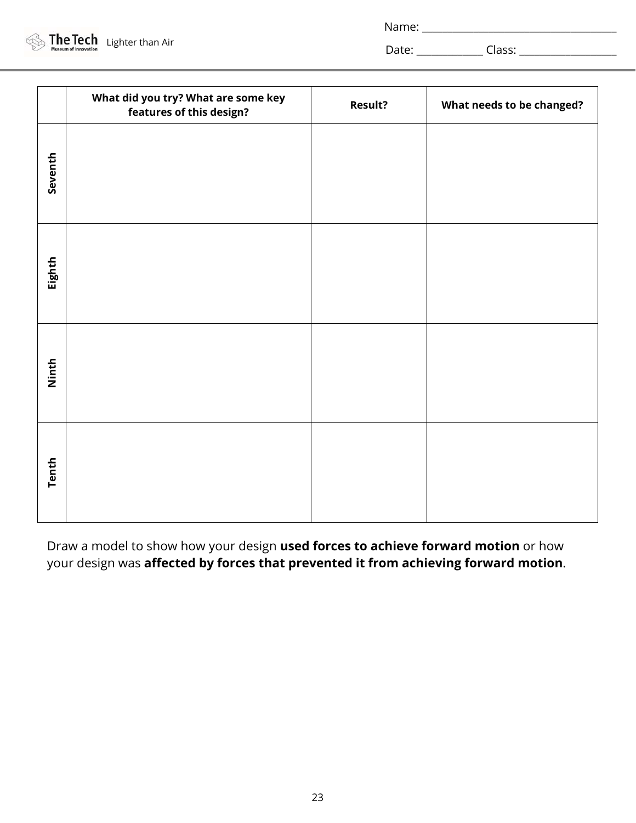| Name: |
|-------|
|-------|

|         | What did you try? What are some key<br>features of this design? | <b>Result?</b> | What needs to be changed? |
|---------|-----------------------------------------------------------------|----------------|---------------------------|
| Seventh |                                                                 |                |                           |
| Eighth  |                                                                 |                |                           |
| Ninth   |                                                                 |                |                           |
| Tenth   |                                                                 |                |                           |

Draw a model to show how your design **used forces to achieve forward motion** or how your design was **affected by forces that prevented it from achieving forward motion**.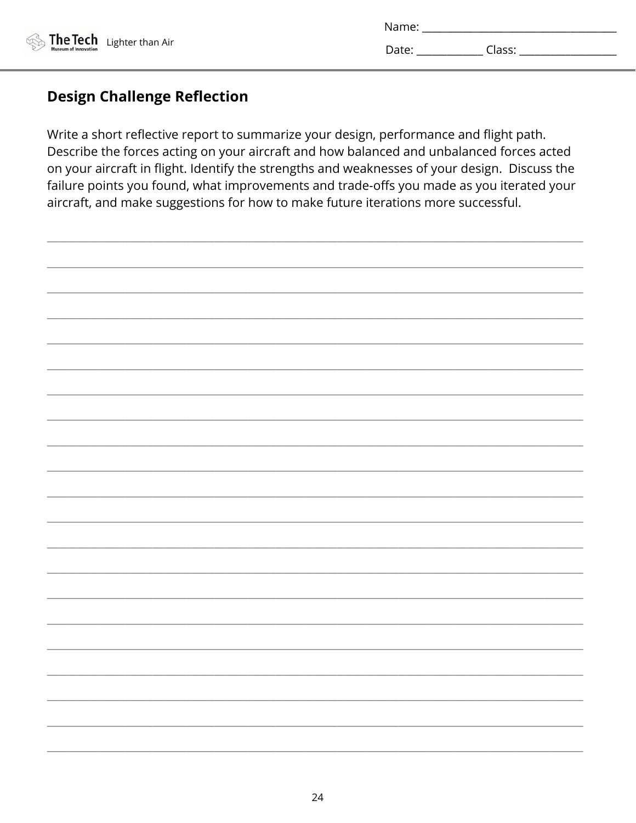| Name: |        |
|-------|--------|
| Date: | Class: |

# **Design Challenge Reflection**

Write a short reflective report to summarize your design, performance and flight path. Describe the forces acting on your aircraft and how balanced and unbalanced forces acted on your aircraft in flight. Identify the strengths and weaknesses of your design. Discuss the failure points you found, what improvements and trade-offs you made as you iterated your aircraft, and make suggestions for how to make future iterations more successful.

![](_page_23_Picture_4.jpeg)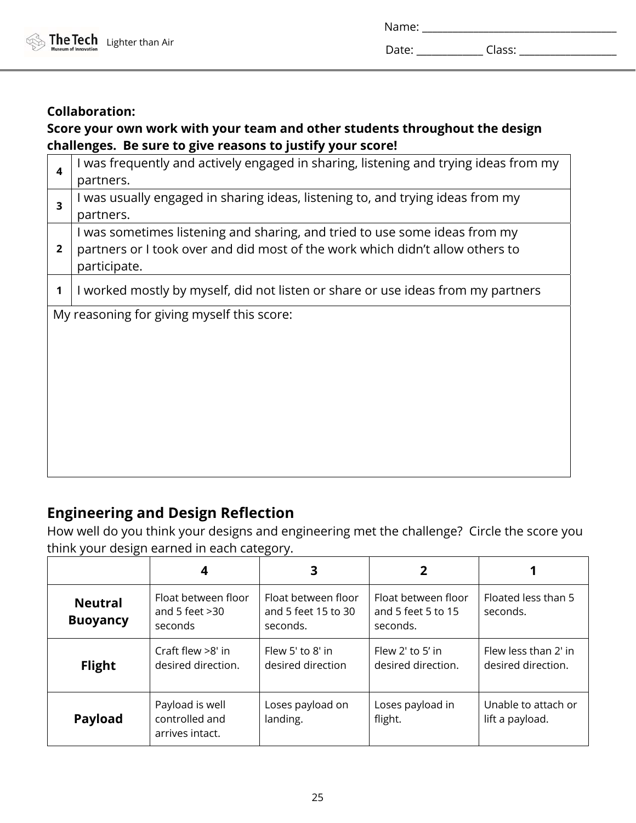| Name <sup>.</sup><br>---- |  |  |  |
|---------------------------|--|--|--|
|                           |  |  |  |

# **Collaboration:**

# **Score your own work with your team and other students throughout the design challenges. Be sure to give reasons to justify your score!**

| $\boldsymbol{4}$ | I was frequently and actively engaged in sharing, listening and trying ideas from my |  |  |  |  |  |  |
|------------------|--------------------------------------------------------------------------------------|--|--|--|--|--|--|
|                  | partners.                                                                            |  |  |  |  |  |  |
| 3                | I was usually engaged in sharing ideas, listening to, and trying ideas from my       |  |  |  |  |  |  |
|                  | partners.                                                                            |  |  |  |  |  |  |
| $\overline{2}$   | I was sometimes listening and sharing, and tried to use some ideas from my           |  |  |  |  |  |  |
|                  | partners or I took over and did most of the work which didn't allow others to        |  |  |  |  |  |  |
|                  | participate.                                                                         |  |  |  |  |  |  |
|                  | I worked mostly by myself, did not listen or share or use ideas from my partners     |  |  |  |  |  |  |
|                  |                                                                                      |  |  |  |  |  |  |
|                  | My reasoning for giving myself this score:                                           |  |  |  |  |  |  |
|                  |                                                                                      |  |  |  |  |  |  |
|                  |                                                                                      |  |  |  |  |  |  |
|                  |                                                                                      |  |  |  |  |  |  |
|                  |                                                                                      |  |  |  |  |  |  |
|                  |                                                                                      |  |  |  |  |  |  |
|                  |                                                                                      |  |  |  |  |  |  |
|                  |                                                                                      |  |  |  |  |  |  |
|                  |                                                                                      |  |  |  |  |  |  |
|                  |                                                                                      |  |  |  |  |  |  |

# **Engineering and Design Reflection**

How well do you think your designs and engineering met the challenge? Circle the score you think your design earned in each category.

|                                   |                                                      | 3                                                      |                                                       |                                            |
|-----------------------------------|------------------------------------------------------|--------------------------------------------------------|-------------------------------------------------------|--------------------------------------------|
| <b>Neutral</b><br><b>Buoyancy</b> | Float between floor<br>and 5 feet $>30$<br>seconds   | Float between floor<br>and 5 feet 15 to 30<br>seconds. | Float between floor<br>and 5 feet 5 to 15<br>seconds. | <b>Floated less than 5</b><br>seconds.     |
| <b>Flight</b>                     | Craft flew $>8'$ in<br>desired direction.            | Flew 5' to 8' in<br>desired direction                  | Flew $2'$ to $5'$ in<br>desired direction.            | Flew less than 2' in<br>desired direction. |
| <b>Payload</b>                    | Payload is well<br>controlled and<br>arrives intact. | Loses payload on<br>landing.                           | Loses payload in<br>flight.                           | Unable to attach or<br>lift a payload.     |